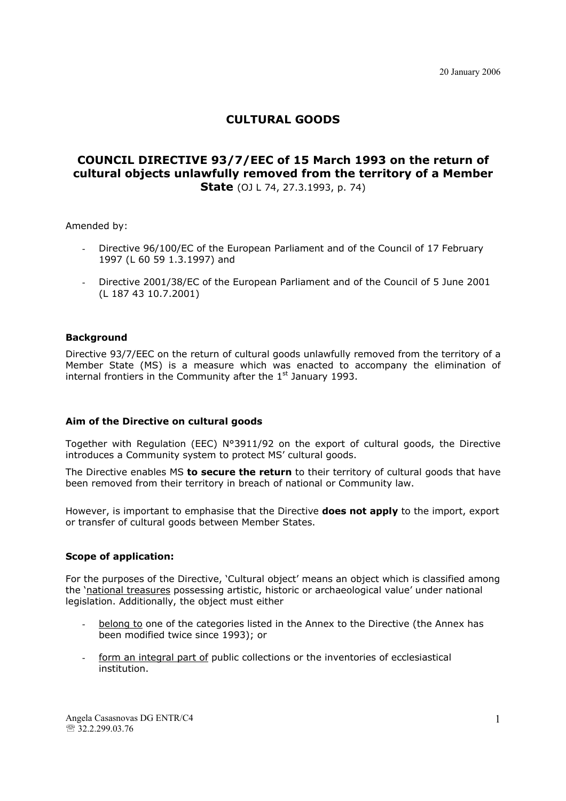# **CULTURAL GOODS**

## **COUNCIL DIRECTIVE 93/7/EEC of 15 March 1993 on the return of cultural objects unlawfully removed from the territory of a Member State** (0J L 74, 27.3.1993, p. 74)

Amended by:

- Directive 96/100/EC of the European Parliament and of the Council of 17 February 1997 (L 60 59 1.3.1997) and
- Directive 2001/38/EC of the European Parliament and of the Council of 5 June 2001 (L 187 43 10.7.2001)

#### **Background**

Directive 93/7/EEC on the return of cultural goods unlawfully removed from the territory of a Member State (MS) is a measure which was enacted to accompany the elimination of internal frontiers in the Community after the  $1<sup>st</sup>$  January 1993.

#### **Aim of the Directive on cultural goods**

Together with Regulation (EEC) N°3911/92 on the export of cultural goods, the Directive introduces a Community system to protect MS' cultural goods.

The Directive enables MS **to secure the return** to their territory of cultural goods that have been removed from their territory in breach of national or Community law.

However, is important to emphasise that the Directive **does not apply** to the import, export or transfer of cultural goods between Member States.

#### **Scope of application:**

For the purposes of the Directive, 'Cultural object' means an object which is classified among the 'national treasures possessing artistic, historic or archaeological value' under national legislation. Additionally, the object must either

- belong to one of the categories listed in the Annex to the Directive (the Annex has been modified twice since 1993); or
- form an integral part of public collections or the inventories of ecclesiastical institution.

Angela Casasnovas DG ENTR/C4 ℡ 32.2.299.03.76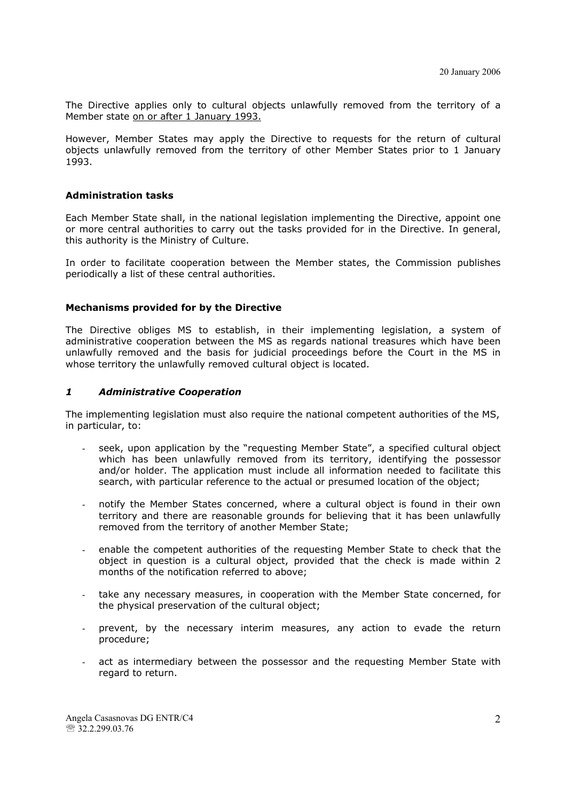The Directive applies only to cultural objects unlawfully removed from the territory of a Member state on or after 1 January 1993.

However, Member States may apply the Directive to requests for the return of cultural objects unlawfully removed from the territory of other Member States prior to 1 January 1993.

#### **Administration tasks**

Each Member State shall, in the national legislation implementing the Directive, appoint one or more central authorities to carry out the tasks provided for in the Directive. In general, this authority is the Ministry of Culture.

In order to facilitate cooperation between the Member states, the Commission publishes periodically a list of these central authorities.

#### **Mechanisms provided for by the Directive**

The Directive obliges MS to establish, in their implementing legislation, a system of administrative cooperation between the MS as regards national treasures which have been unlawfully removed and the basis for judicial proceedings before the Court in the MS in whose territory the unlawfully removed cultural object is located.

#### *1 Administrative Cooperation*

The implementing legislation must also require the national competent authorities of the MS, in particular, to:

- seek, upon application by the "requesting Member State", a specified cultural object which has been unlawfully removed from its territory, identifying the possessor and/or holder. The application must include all information needed to facilitate this search, with particular reference to the actual or presumed location of the object;
- notify the Member States concerned, where a cultural object is found in their own territory and there are reasonable grounds for believing that it has been unlawfully removed from the territory of another Member State;
- enable the competent authorities of the requesting Member State to check that the object in question is a cultural object, provided that the check is made within 2 months of the notification referred to above;
- take any necessary measures, in cooperation with the Member State concerned, for the physical preservation of the cultural object;
- prevent, by the necessary interim measures, any action to evade the return procedure;
- act as intermediary between the possessor and the requesting Member State with regard to return.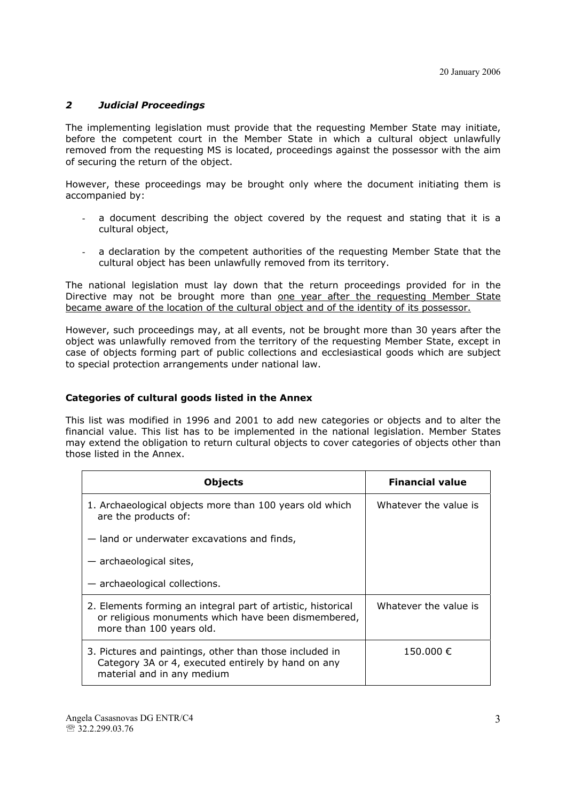### *2 Judicial Proceedings*

The implementing legislation must provide that the requesting Member State may initiate, before the competent court in the Member State in which a cultural object unlawfully removed from the requesting MS is located, proceedings against the possessor with the aim of securing the return of the object.

However, these proceedings may be brought only where the document initiating them is accompanied by:

- a document describing the object covered by the request and stating that it is a cultural object,
- a declaration by the competent authorities of the requesting Member State that the cultural object has been unlawfully removed from its territory.

The national legislation must lay down that the return proceedings provided for in the Directive may not be brought more than one year after the requesting Member State became aware of the location of the cultural object and of the identity of its possessor.

However, such proceedings may, at all events, not be brought more than 30 years after the object was unlawfully removed from the territory of the requesting Member State, except in case of objects forming part of public collections and ecclesiastical goods which are subject to special protection arrangements under national law.

#### **Categories of cultural goods listed in the Annex**

This list was modified in 1996 and 2001 to add new categories or objects and to alter the financial value. This list has to be implemented in the national legislation. Member States may extend the obligation to return cultural objects to cover categories of objects other than those listed in the Annex.

| <b>Objects</b>                                                                                                                                  | <b>Financial value</b> |
|-------------------------------------------------------------------------------------------------------------------------------------------------|------------------------|
| 1. Archaeological objects more than 100 years old which<br>are the products of:                                                                 | Whatever the value is  |
| - land or underwater excavations and finds,                                                                                                     |                        |
| $-$ archaeological sites,                                                                                                                       |                        |
| $-$ archaeological collections.                                                                                                                 |                        |
| 2. Elements forming an integral part of artistic, historical<br>or religious monuments which have been dismembered,<br>more than 100 years old. | Whatever the value is  |
| 3. Pictures and paintings, other than those included in<br>Category 3A or 4, executed entirely by hand on any<br>material and in any medium     | 150.000 €              |

Angela Casasnovas DG ENTR/C4 ℡ 32.2.299.03.76